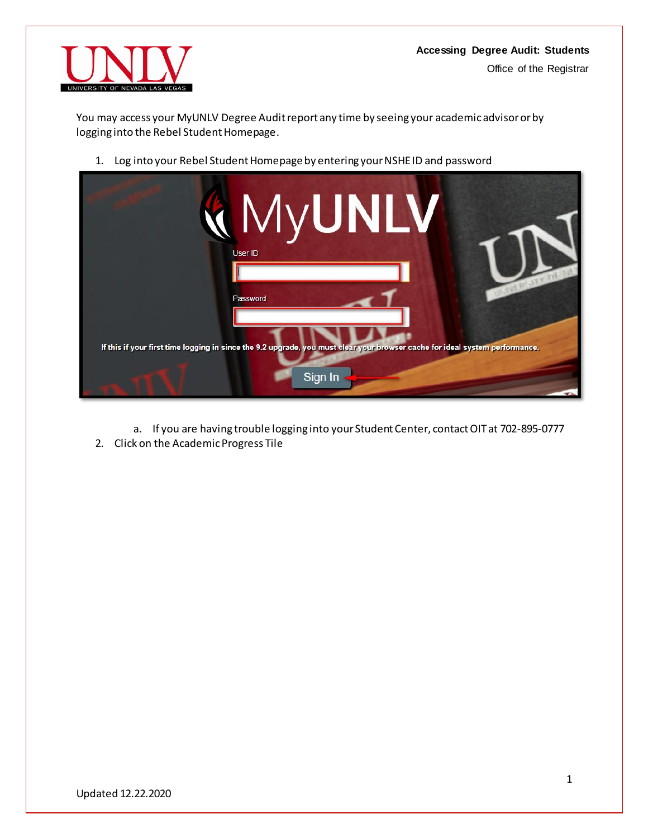

You may access your MyUNLV Degree Audit report any time by seeing your academic advisor or by logging into the Rebel Student Homepage.

1. Log into your Rebel Student Homepageby entering your NSHE ID and password



- a. If you are having trouble logging into your Student Center, contact OIT at 702-895-0777
- 2. Click on the Academic Progress Tile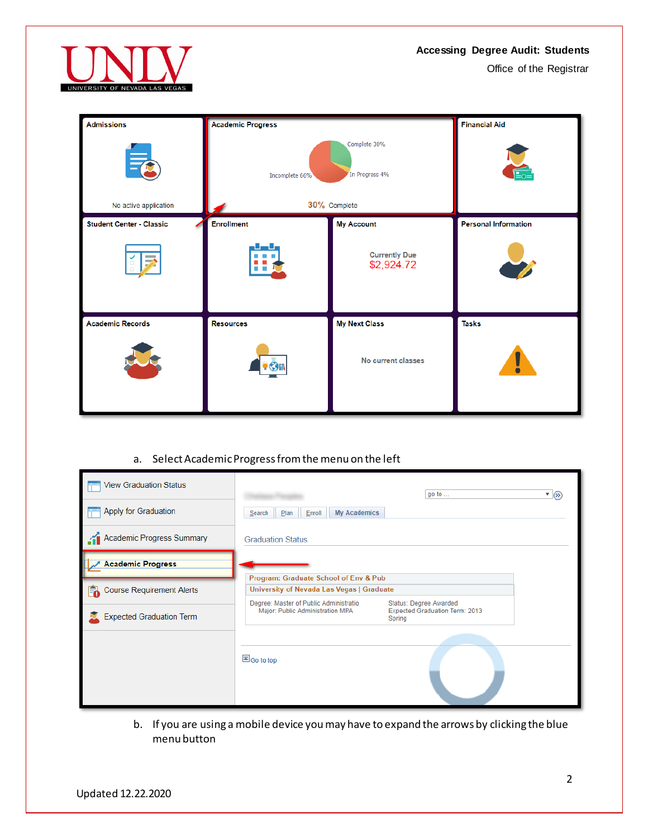

Office of the Registrar

| <b>Admissions</b>               | <b>Academic Progress</b> |                                    | <b>Financial Aid</b>        |
|---------------------------------|--------------------------|------------------------------------|-----------------------------|
| 异                               | Incomplete 66%           |                                    |                             |
| No active application           |                          | 30% Complete                       |                             |
| <b>Student Center - Classic</b> | <b>Enrollment</b>        | <b>My Account</b>                  | <b>Personal Information</b> |
| $\overline{\phantom{a}}$        | u.<br>86.                | <b>Currently Due</b><br>\$2,924.72 |                             |
| <b>Academic Records</b>         | <b>Resources</b>         | <b>My Next Class</b>               | <b>Tasks</b>                |
|                                 |                          | No current classes                 | Ī                           |

# a. Select Academic Progress from the menu on the left

| <b>View Graduation Status</b>   |                                                                            | go to $\ldots$                                                     | $\sqrt{8}$ |
|---------------------------------|----------------------------------------------------------------------------|--------------------------------------------------------------------|------------|
| Apply for Graduation            | <b>My Academics</b><br>Plan<br>Enroll<br>Search                            |                                                                    |            |
| Academic Progress Summary       | <b>Graduation Status</b>                                                   |                                                                    |            |
| <b>Academic Progress</b>        | Program: Graduate School of Env & Pub                                      |                                                                    |            |
| Course Requirement Alerts       | University of Nevada Las Vegas   Graduate                                  |                                                                    |            |
| <b>Expected Graduation Term</b> | Degree: Master of Public Administratio<br>Major: Public Administration MPA | Status: Degree Awarded<br>Expected Graduation Term: 2013<br>Spring |            |
|                                 | Go to top                                                                  |                                                                    |            |

b. If you are using a mobile device you may have to expand the arrows by clicking the blue menu button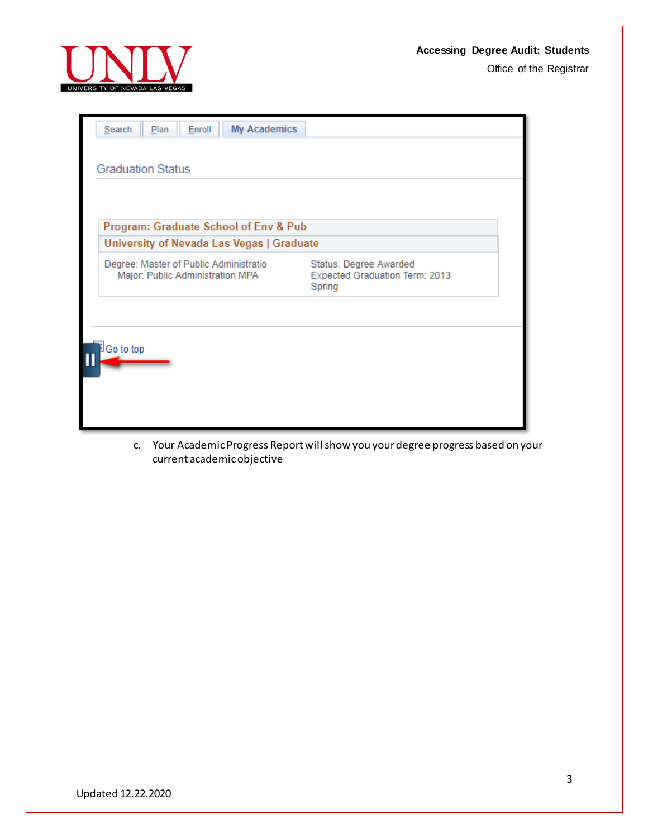Office of the Registrar



| <b>My Academics</b><br>Search<br>Plan<br>Enroll                                                                                                                                                                                 |  |  |
|---------------------------------------------------------------------------------------------------------------------------------------------------------------------------------------------------------------------------------|--|--|
|                                                                                                                                                                                                                                 |  |  |
| <b>Graduation Status</b>                                                                                                                                                                                                        |  |  |
|                                                                                                                                                                                                                                 |  |  |
| Program: Graduate School of Env & Pub                                                                                                                                                                                           |  |  |
| University of Nevada Las Vegas   Graduate                                                                                                                                                                                       |  |  |
| Degree: Master of Public Administratio<br>Status: Degree Awarded<br>Major: Public Administration MPA<br>Expected Graduation Term: 2013<br>Spring                                                                                |  |  |
|                                                                                                                                                                                                                                 |  |  |
|                                                                                                                                                                                                                                 |  |  |
| Go to top                                                                                                                                                                                                                       |  |  |
|                                                                                                                                                                                                                                 |  |  |
|                                                                                                                                                                                                                                 |  |  |
|                                                                                                                                                                                                                                 |  |  |
| $M_{\odot}$ and A results and the Boston contract of the state of H relations of the state of the state of the state of the state of the state of the state of the state of the state of the state of the state of the state of |  |  |

c. Your Academic Progress Report will show you your degree progress based on your current academic objective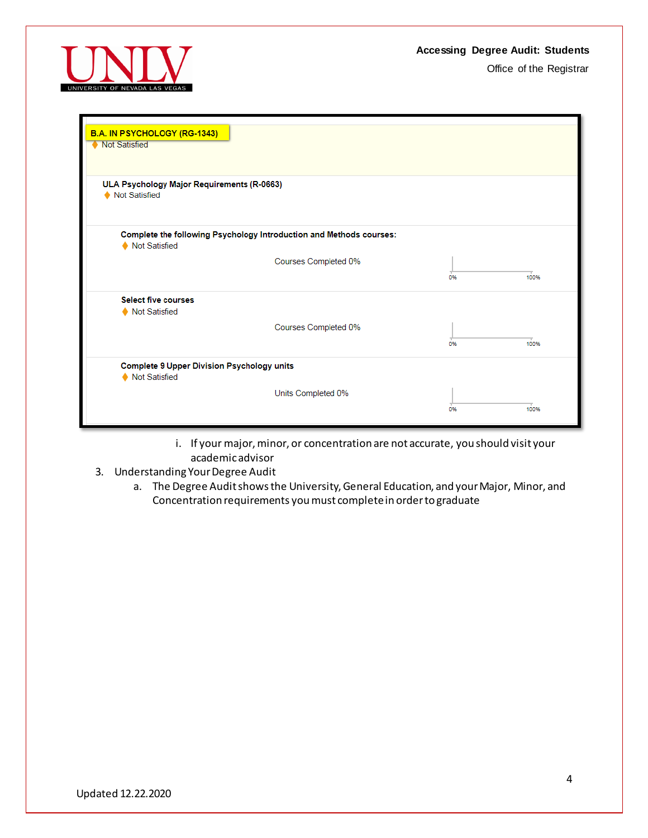

| B.A. IN PSYCHOLOGY (RG-1343)<br><b>Not Satisfied</b>               |                                                                     |    |      |
|--------------------------------------------------------------------|---------------------------------------------------------------------|----|------|
| ULA Psychology Major Requirements (R-0663)<br>Not Satisfied        |                                                                     |    |      |
| Not Satisfied                                                      | Complete the following Psychology Introduction and Methods courses: |    |      |
|                                                                    | Courses Completed 0%                                                | 0% | 100% |
| <b>Select five courses</b><br>Not Satisfied                        |                                                                     |    |      |
|                                                                    | Courses Completed 0%                                                | 0% | 100% |
| <b>Complete 9 Upper Division Psychology units</b><br>Not Satisfied |                                                                     |    |      |
|                                                                    | Units Completed 0%                                                  | 0% | 100% |

- i. If your major, minor, or concentration are not accurate, you should visit your academic advisor
- 3. Understanding Your Degree Audit
	- a. The Degree Audit shows the University, General Education, and your Major, Minor, and Concentration requirements you must complete in order to graduate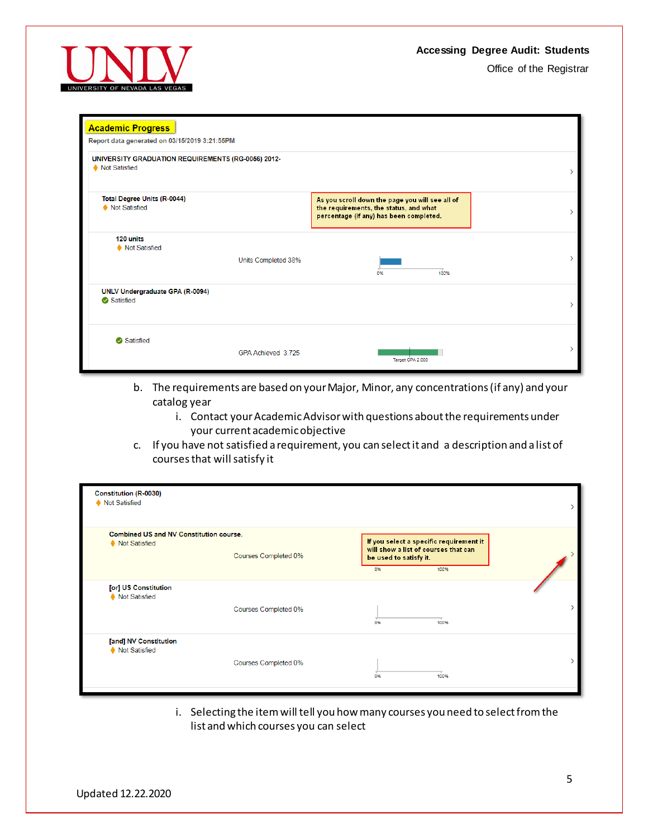

| <b>Academic Progress</b><br>Report data generated on 03/15/2019 3:21:55PM |                     |                                                                                                                                      |               |  |
|---------------------------------------------------------------------------|---------------------|--------------------------------------------------------------------------------------------------------------------------------------|---------------|--|
| UNIVERSITY GRADUATION REQUIREMENTS (RG-0056) 2012-<br>♦ Not Satisfied     |                     |                                                                                                                                      | $\mathcal{E}$ |  |
| Total Degree Units (R-0044)<br>Not Satisfied                              |                     | As you scroll down the page you will see all of<br>the requirements, the status, and what<br>percentage (if any) has been completed. |               |  |
| 120 units<br>Not Satisfied                                                | Units Completed 38% | 100%<br>0%                                                                                                                           | $\mathcal{E}$ |  |
| UNLV Undergraduate GPA (R-0094)<br>Satisfied                              |                     |                                                                                                                                      | ↘             |  |
| Satisfied                                                                 | GPA Achieved 3.725  | Target GPA 2.000                                                                                                                     | $\mathcal{E}$ |  |

- b. The requirements are based on your Major, Minor, any concentrations (if any) and your catalog year
	- i. Contact your Academic Advisor with questions about the requirements under your current academic objective
- c. If you have not satisfied a requirement, you can select it and a description and a list of courses that will satisfy it

| <b>Constitution (R-0030)</b><br>Not Satisfied                   |                      |                              |                                                                                         |  |
|-----------------------------------------------------------------|----------------------|------------------------------|-----------------------------------------------------------------------------------------|--|
| <b>Combined US and NV Constitution course.</b><br>Not Satisfied | Courses Completed 0% | be used to satisfy it.<br>0% | If you select a specific requirement it<br>will show a list of courses that can<br>100% |  |
| [or] US Constitution<br>Not Satisfied                           | Courses Completed 0% | 0%                           | 100%                                                                                    |  |
| [and] NV Constitution<br>Not Satisfied                          | Courses Completed 0% | 0%                           | 100%                                                                                    |  |

i. Selecting the item will tell you how many courses you need to select from the list and which courses you can select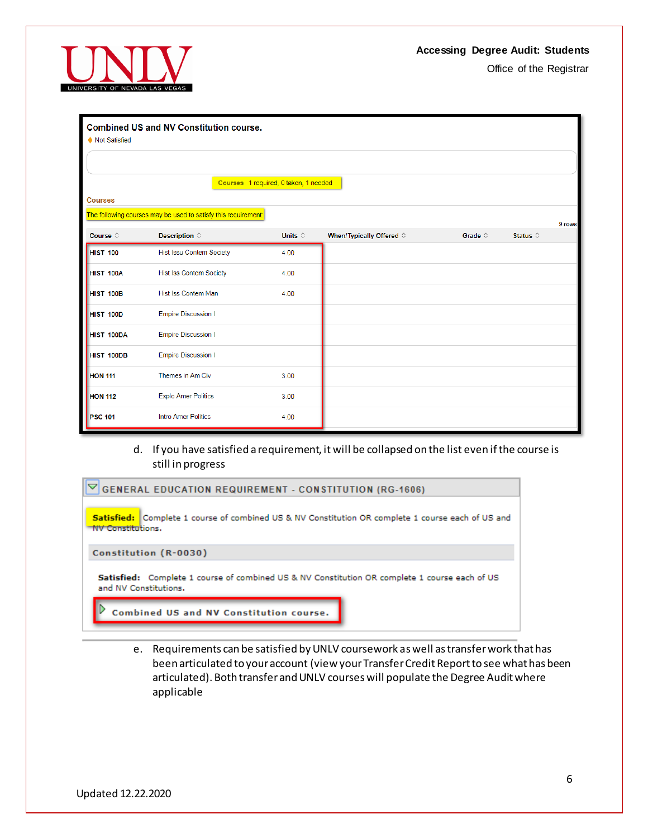

| <b>Combined US and NV Constitution course.</b><br>Not Satisfied |                                                                |                  |                                   |                  |                   |
|-----------------------------------------------------------------|----------------------------------------------------------------|------------------|-----------------------------------|------------------|-------------------|
|                                                                 |                                                                |                  |                                   |                  |                   |
|                                                                 | Courses 1 required, 0 taken, 1 needed                          |                  |                                   |                  |                   |
| <b>Courses</b>                                                  |                                                                |                  |                                   |                  |                   |
|                                                                 | The following courses may be used to satisfy this requirement: |                  |                                   |                  | 9 rows            |
| Course $\diamond$                                               | Description $\diamond$                                         | Units $\diamond$ | When/Typically Offered $\diamond$ | Grade $\diamond$ | Status $\diamond$ |
| HIST 100                                                        | <b>Hist Issu Contem Society</b>                                | 4.00             |                                   |                  |                   |
| HIST 100A                                                       | <b>Hist Iss Contem Society</b>                                 | 4.00             |                                   |                  |                   |
| HIST 100B                                                       | Hist Iss Contem Man                                            | 4.00             |                                   |                  |                   |
| HIST 100D                                                       | <b>Empire Discussion I</b>                                     |                  |                                   |                  |                   |
| <b>HIST 100DA</b>                                               | <b>Empire Discussion I</b>                                     |                  |                                   |                  |                   |
| HIST 100DB                                                      | <b>Empire Discussion I</b>                                     |                  |                                   |                  |                   |
| <b>HON 111</b>                                                  | Themes in Am Civ                                               | 3.00             |                                   |                  |                   |
| <b>HON 112</b>                                                  | <b>Explo Amer Politics</b>                                     | 3.00             |                                   |                  |                   |
| <b>PSC 101</b>                                                  | <b>Intro Amer Politics</b>                                     | 4.00             |                                   |                  |                   |

# d. If you have satisfied a requirement, it will be collapsed on the list even if the course is still in progress

| $\nabla$ GENERAL EDUCATION REQUIREMENT - CONSTITUTION (RG-1606)                                                                      |
|--------------------------------------------------------------------------------------------------------------------------------------|
| <b>Satisfied:</b> Complete 1 course of combined US & NV Constitution OR complete 1 course each of US and<br><b>NV Constitutions.</b> |
| Constitution (R-0030)                                                                                                                |
| Satisfied: Complete 1 course of combined US & NV Constitution OR complete 1 course each of US<br>and NV Constitutions.               |
| Combined US and NV Constitution course.                                                                                              |

e. Requirements can be satisfied by UNLV coursework as well as transfer work that has been articulated to your account (view your Transfer Credit Report to see what has been articulated). Both transfer and UNLV courses will populate the Degree Audit where applicable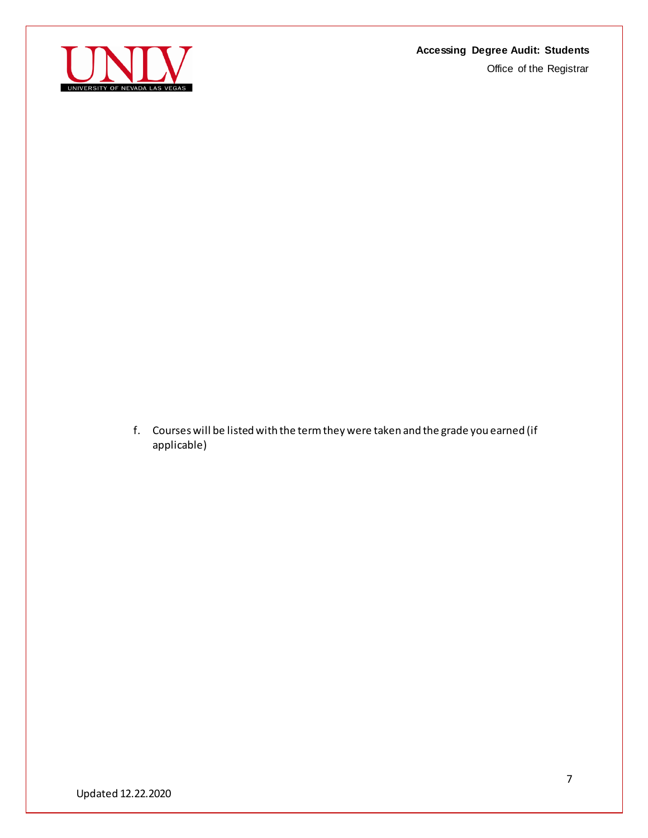Office of the Registrar



f. Courses will be listed with the term they were taken and the grade you earned (if applicable)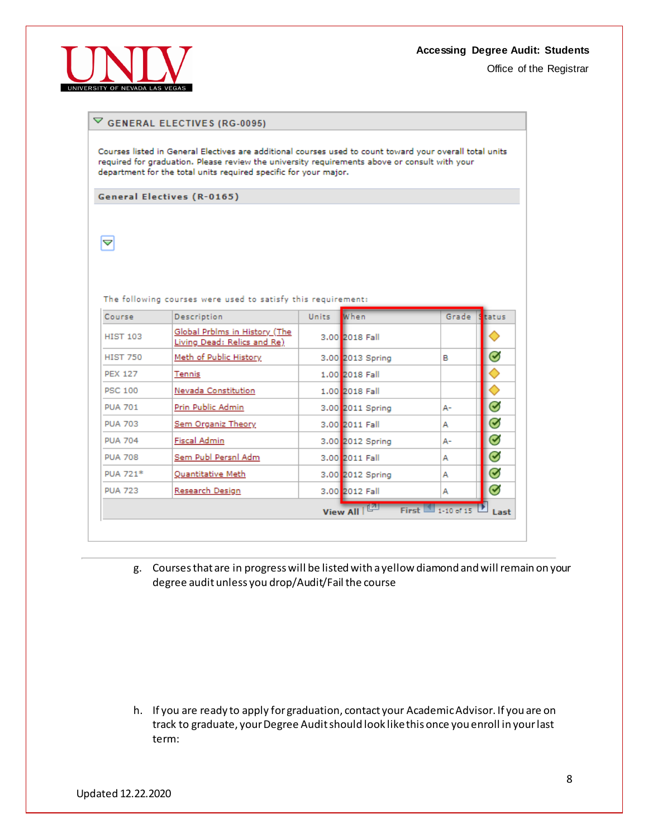Office of the Registrar



# $\triangledown$  GENERAL ELECTIVES (RG-0095)

Courses listed in General Electives are additional courses used to count toward your overall total units required for graduation. Please review the university requirements above or consult with your department for the total units required specific for your major.

**General Electives (R-0165)** 

 $\blacktriangleleft$ 

The following courses were used to satisfy this requirement:

| Course          | Description                                                  | Units | When             | Grade              | status             |
|-----------------|--------------------------------------------------------------|-------|------------------|--------------------|--------------------|
| <b>HIST 103</b> | Global Prblms in History (The<br>Living Dead: Relics and Re) |       | 3.00 2018 Fall   |                    |                    |
| <b>HIST 750</b> | Meth of Public History                                       |       | 3.00 2013 Spring | в                  | ☑                  |
| <b>PEX 127</b>  | Tennis                                                       |       | 1.00 2018 Fall   |                    |                    |
| <b>PSC 100</b>  | Nevada Constitution                                          |       | 1.00 2018 Fall   |                    |                    |
| <b>PUA 701</b>  | Prin Public Admin                                            |       | 3.00 2011 Spring | А-                 | $\bm{\varnothing}$ |
| <b>PUA 703</b>  | Sem Organiz Theory                                           |       | 3.00 2011 Fall   | А                  | $\bm{\varnothing}$ |
| <b>PUA 704</b>  | Fiscal Admin                                                 |       | 3.00 2012 Spring | А-                 | $\bm{\varnothing}$ |
| <b>PUA 708</b>  | Sem Publ Persnl Adm                                          |       | 3.00 2011 Fall   | А                  | $\bm{\mathcal{G}}$ |
| PUA 721*        | Quantitative Meth                                            |       | 3.00 2012 Spring | А                  | $\bm{\varnothing}$ |
| <b>PUA 723</b>  | Research Design                                              |       | 3.00 2012 Fall   | А                  | $\bm{\varnothing}$ |
|                 |                                                              |       | View All   LA    | First $1.10$ of 15 | Last               |

g. Courses that are in progress will be listed with a yellow diamond and will remain on your degree audit unless you drop/Audit/Fail the course

h. If you are ready to apply for graduation, contact your Academic Advisor. If you are on track to graduate, your Degree Audit should look like this once you enroll in your last term: